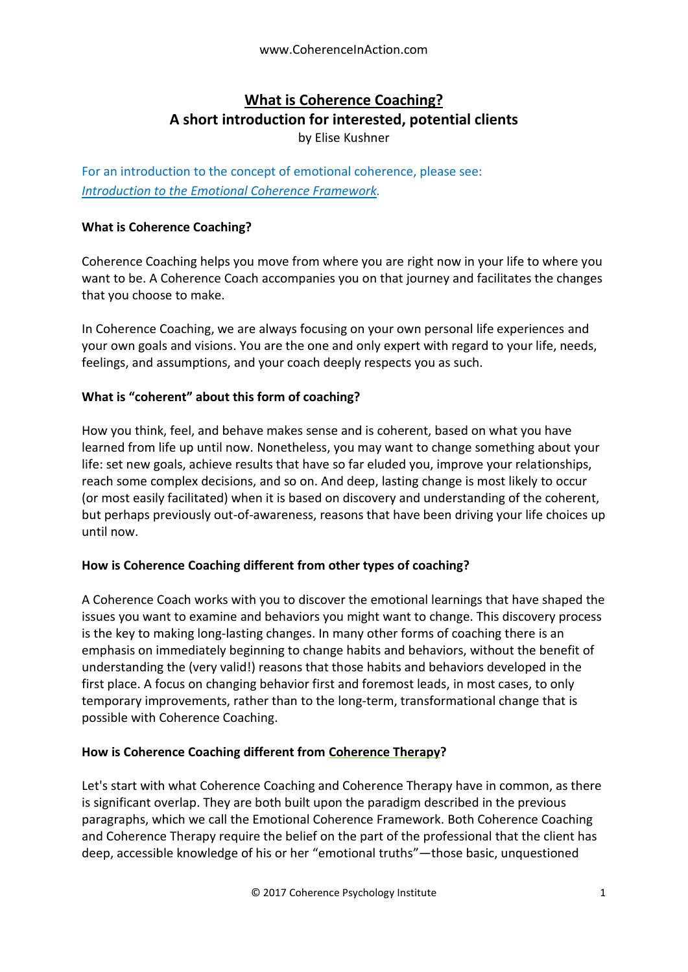# **What is Coherence Coaching? A short introduction for interested, potential clients**

by Elise Kushner

For an introduction to the concept of emotional coherence, please see: *[Introduction to the Emotional Coherence Framework.](https://docs.wixstatic.com/ugd/c5924b_db22a19f1b1c40209c875a5b1eac0cd3.pdf)*

## **What is Coherence Coaching?**

Coherence Coaching helps you move from where you are right now in your life to where you want to be. A Coherence Coach accompanies you on that journey and facilitates the changes that you choose to make.

In Coherence Coaching, we are always focusing on your own personal life experiences and your own goals and visions. You are the one and only expert with regard to your life, needs, feelings, and assumptions, and your coach deeply respects you as such.

## **What is "coherent" about this form of coaching?**

How you think, feel, and behave makes sense and is coherent, based on what you have learned from life up until now. Nonetheless, you may want to change something about your life: set new goals, achieve results that have so far eluded you, improve your relationships, reach some complex decisions, and so on. And deep, lasting change is most likely to occur (or most easily facilitated) when it is based on discovery and understanding of the coherent, but perhaps previously out-of-awareness, reasons that have been driving your life choices up until now.

## **How is Coherence Coaching different from other types of coaching?**

A Coherence Coach works with you to discover the emotional learnings that have shaped the issues you want to examine and behaviors you might want to change. This discovery process is the key to making long-lasting changes. In many other forms of coaching there is an emphasis on immediately beginning to change habits and behaviors, without the benefit of understanding the (very valid!) reasons that those habits and behaviors developed in the first place. A focus on changing behavior first and foremost leads, in most cases, to only temporary improvements, rather than to the long-term, transformational change that is possible with Coherence Coaching.

## **How is Coherence Coaching different from Coherence Therapy?**

Let's start with what Coherence Coaching and Coherence Therapy have in common, as there is significant overlap. They are both built upon the paradigm described in the previous paragraphs, which we call the Emotional Coherence Framework. Both Coherence Coaching and Coherence Therapy require the belief on the part of the professional that the client has deep, accessible knowledge of his or her "emotional truths"—those basic, unquestioned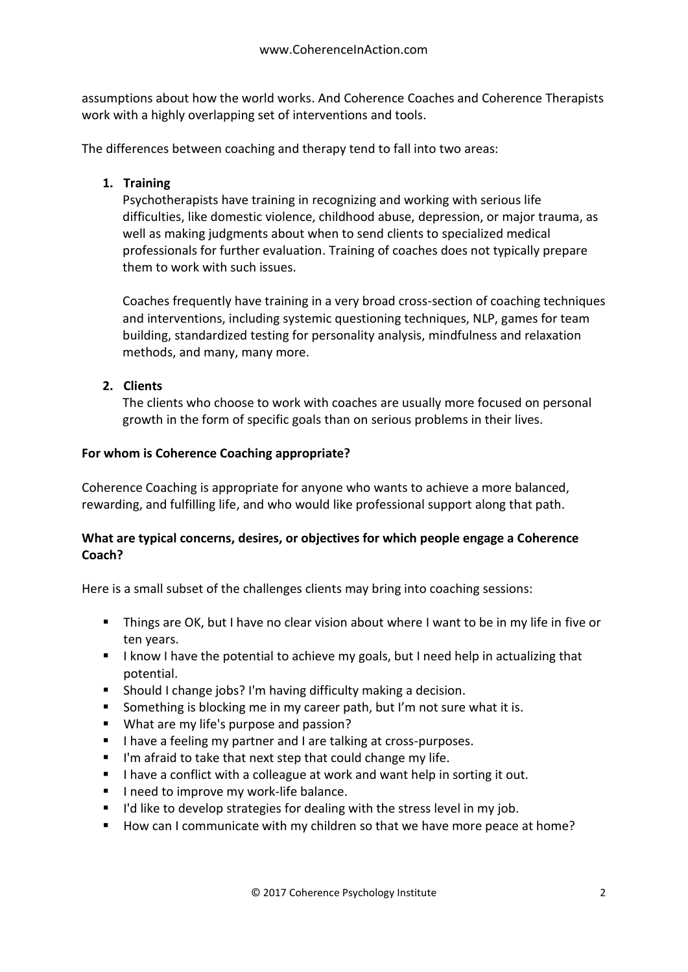assumptions about how the world works. And Coherence Coaches and Coherence Therapists work with a highly overlapping set of interventions and tools.

The differences between coaching and therapy tend to fall into two areas:

# **1. Training**

Psychotherapists have training in recognizing and working with serious life difficulties, like domestic violence, childhood abuse, depression, or major trauma, as well as making judgments about when to send clients to specialized medical professionals for further evaluation. Training of coaches does not typically prepare them to work with such issues.

Coaches frequently have training in a very broad cross-section of coaching techniques and interventions, including systemic questioning techniques, NLP, games for team building, standardized testing for personality analysis, mindfulness and relaxation methods, and many, many more.

# **2. Clients**

The clients who choose to work with coaches are usually more focused on personal growth in the form of specific goals than on serious problems in their lives.

## **For whom is Coherence Coaching appropriate?**

Coherence Coaching is appropriate for anyone who wants to achieve a more balanced, rewarding, and fulfilling life, and who would like professional support along that path.

## **What are typical concerns, desires, or objectives for which people engage a Coherence Coach?**

Here is a small subset of the challenges clients may bring into coaching sessions:

- Things are OK, but I have no clear vision about where I want to be in my life in five or ten years.
- I know I have the potential to achieve my goals, but I need help in actualizing that potential.
- Should I change jobs? I'm having difficulty making a decision.
- Something is blocking me in my career path, but I'm not sure what it is.
- What are my life's purpose and passion?
- I have a feeling my partner and I are talking at cross-purposes.
- I'm afraid to take that next step that could change my life.
- I have a conflict with a colleague at work and want help in sorting it out.
- I need to improve my work-life balance.
- $\blacksquare$  I'd like to develop strategies for dealing with the stress level in my job.
- How can I communicate with my children so that we have more peace at home?